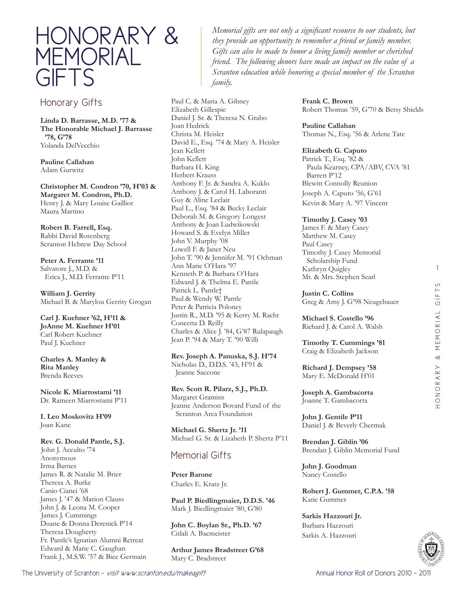

## Honorary Gifts

**Linda D. Barrasse, M.D. '77 & The Honorable Michael J. Barrasse '78, G'78** Yolanda DelVecchio

**Pauline Callahan** Adam Gurwitz

**Christopher M. Condron '70, H'03 & Margaret M. Condron, Ph.D.**  Henry J. & Mary Louise Gailliot Maura Martino

**Robert B. Farrell, Esq.** Rabbi David Rosenberg Scranton Hebrew Day School

**Peter A. Ferrante '11** Salvatore J., M.D. & Erica J., M.D. Ferrante P'11

**William J. Gerrity** Michael B. & Marylou Gerrity Grogan

**Carl J. Kuehner '62, H'11 & JoAnne M. Kuehner H'01** Carl Robert Kuehner Paul J. Kuehner

**Charles A. Manley & Rita Manley**  Brenda Reeves

**Nicole K. Miarrostami '11** Dr. Rameen Miarrostami P'11

**I. Leo Moskovitz H'09** Joan Kane

**Rev. G. Donald Pantle, S.J.**  John J. Acculto '74 Anonymous Irma Barnes James R. & Natalie M. Brier Theresa A. Burke Canio Cianci '68 James J. '47 & Marion Clauss John J. & Leona M. Cooper James J. Cummings Duane & Donna Derenick P'14 Theresa Dougherty Fr. Pantle's Ignatian Alumni Retreat Edward & Marie C. Gaughan Frank J., M.S.W. '57 & Bice Germain

*Memorial gifts are not only a significant resource to our students, but they provide an opportunity to remember a friend or family member. Gifts can also be made to honor a living family member or cherished friend. The following donors have made an impact on the value of a Scranton education while honoring a special member of the Scranton family.*

Paul C. & Maria A. Gibney Elizabeth Gillespie Daniel J. Sr. & Theresa N. Grabo Joan Hedrick Christa M. Heisler David E., Esq. '74 & Mary A. Heisler Jean Kellett John Kellett Barbara H. King Herbert Krauss Anthony F. Jr. & Sandra A. Kuklo Anthony J. & Carol H. Laboranti Guy & Aline Leclair Paul L., Esq. '84 & Becky Leclair Deborah M. & Gregory Longest Anthony & Joan Ludwikowski Howard S. & Evelyn Miller John V. Murphy '08 Lowell F. & Janet Neu John T. '90 & Jennifer M. '91 Ochman Ann Marie O'Hara '97 Kenneth P. & Barbara O'Hara Edward J. & Thelma E. Pantle Patrick L. Pantle† Paul & Wendy W. Pantle Peter & Patricia Poloney Justin R., M.D. '95 & Kerry M. Racht Concetta D. Reilly Charles & Alice J. '84, G'87 Rulapaugh Jean P. '94 & Mary T. '90 Willi

**Rev. Joseph A. Panuska, S.J. H'74** Nicholas D., D.D.S. '43, H'91 & Jeanne Saccone

**Rev. Scott R. Pilarz, S.J., Ph.D.** Margaret Gramins Jeanne Anderson Bovard Fund of the Scranton Area Foundation

**Michael G. Shertz Jr. '11** Michael G. Sr. & Lizabeth P. Shertz P'11

## Memorial Gifts

**Peter Barone** Charles E. Kratz Jr.

**Paul P. Biedlingmaier, D.D.S. '46** Mark J. Biedlingmaier '80, G'80

**John C. Boylan Sr., Ph.D. '67** Citlali A. Bacmeister

**Arthur James Bradstreet G'68** Mary C. Bradstreet

**Frank C. Brown** Robert Thomas '59, G'70 & Betsy Shields

**Pauline Callahan** Thomas N., Esq. '56 & Arlene Tate

## **Elizabeth G. Caputo**

Patrick T., Esq. '82 & Paula Kearney, CPA/ABV, CVA '81 Barrett P'12 Blewitt Connolly Reunion Joseph A. Caputo '56, G'61 Kevin & Mary A. '97 Vincent

**Timothy J. Casey '03**

James F. & Mary Casey Matthew M. Casey Paul Casey Timothy J. Casey Memorial Scholarship Fund Kathryn Quigley Mr. & Mrs. Stephen Searl

**Justin C. Collins** Greg & Amy J. G'98 Neugebauer

**Michael S. Costello '96** Richard J. & Carol A. Walsh

**Timothy T. Cummings '81** Craig & Elizabeth Jackson

**Richard J. Dempsey '58** Mary E. McDonald H'01

**Joseph A. Gambacorta** Joanne T. Gambacorta

**John J. Gentile P'11** Daniel J. & Beverly Chermak

**Brendan J. Giblin '06** Brendan J. Giblin Memorial Fund

**John J. Goodman** Nancy Costello

**Robert J. Gummer, C.P.A. '58** Katie Gummer

**Sarkis Hazzouri Jr.** Barbara Hazzouri Sarkis A. Hazzouri

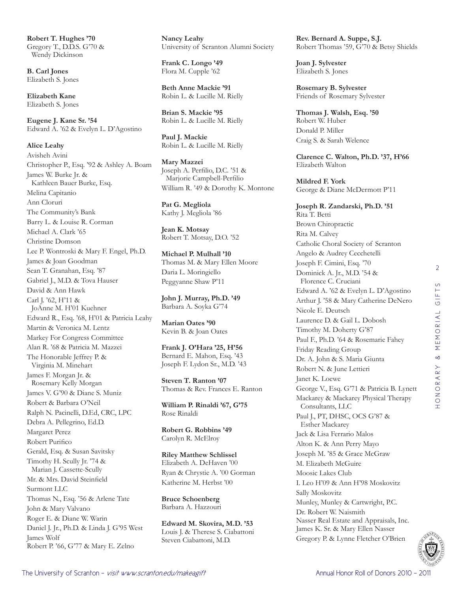**Robert T. Hughes '70** Gregory T., D.D.S. G'70 & Wendy Dickinson

**B. Carl Jones** Elizabeth S. Jones

**Elizabeth Kane** Elizabeth S. Jones

**Eugene J. Kane Sr. '54** Edward A. '62 & Evelyn L. D'Agostino

**Alice Leahy** Avisheh Avini Christopher P., Esq. '92 & Ashley A. Boam James W. Burke Jr. & Kathleen Bauer Burke, Esq. Melina Capitanio Ann Cloruri The Community's Bank Barry L. & Louise R. Corman Michael A. Clark '65 Christine Domson Lee P. Wontroski & Mary F. Engel, Ph.D. James & Joan Goodman Sean T. Granahan, Esq. '87 Gabriel J., M.D. & Tova Hauser David & Ann Hawk Carl J. '62, H'11 & JoAnne M. H'01 Kuehner Edward R., Esq. '68, H'01 & Patricia Leahy Martin & Veronica M. Lentz Markey For Congress Committee Alan R. '68 & Patricia M. Mazzei The Honorable Jeffrey P. & Virginia M. Minehart James F. Morgan Jr. & Rosemary Kelly Morgan James V. G'90 & Diane S. Muniz Robert & Barbara O'Neil Ralph N. Pacinelli, D.Ed, CRC, LPC Debra A. Pellegrino, Ed.D. Margaret Perez Robert Purifico Gerald, Esq. & Susan Savitsky Timothy H. Scully Jr. '74 & Marian J. Cassette-Scully Mr. & Mrs. David Steinfield Surmont LLC Thomas N., Esq. '56 & Arlene Tate John & Mary Valvano Roger E. & Diane W. Warin Daniel J. Jr., Ph.D. & Linda J. G'95 West James Wolf Robert P. '66, G'77 & Mary E. Zelno

**Nancy Leahy** University of Scranton Alumni Society

**Frank C. Longo '49** Flora M. Cupple '62

**Beth Anne Mackie '91** Robin L. & Lucille M. Rielly

**Brian S. Mackie '95** Robin L. & Lucille M. Rielly

**Paul J. Mackie** Robin L. & Lucille M. Rielly

**Mary Mazzei** Joseph A. Perfilio, D.C. '51 & Marjorie Campbell-Perfilio William R. '49 & Dorothy K. Montone

**Pat G. Megliola** Kathy J. Megliola '86

**Jean K. Motsay** Robert T. Motsay, D.O. '52

**Michael P. Mulhall '10** Thomas M. & Mary Ellen Moore Daria L. Moringiello Peggyanne Shaw P'11

**John J. Murray, Ph.D. '49** Barbara A. Soyka G'74

**Marian Oates '90** Kevin B. & Joan Oates

**Frank J. O'Hara '25, H'56** Bernard E. Mahon, Esq. '43 Joseph F. Lydon Sr., M.D. '43

**Steven T. Ranton '07** Thomas & Rev. Frances E. Ranton

**William P. Rinaldi '67, G'75** Rose Rinaldi

**Robert G. Robbins '49** Carolyn R. McElroy

**Riley Matthew Schlissel** Elizabeth A. DeHaven '00 Ryan & Chrystie A. '00 Gorman Katherine M. Herbst '00

**Bruce Schoenberg** Barbara A. Hazzouri

**Edward M. Skovira, M.D. '53** Louis J. & Therese S. Ciabattoni Steven Ciabattoni, M.D.

**Rev. Bernard A. Suppe, S.J.** Robert Thomas '59, G'70 & Betsy Shields

**Joan J. Sylvester** Elizabeth S. Jones

**Rosemary B. Sylvester** Friends of Rosemary Sylvester

**Thomas J. Walsh, Esq. '50** Robert W. Huber Donald P. Miller Craig S. & Sarah Welence

**Clarence C. Walton, Ph.D. '37, H'66** Elizabeth Walton

**Mildred F. York** George & Diane McDermott P'11

**Joseph R. Zandarski, Ph.D. '51** Rita T. Betti Brown Chiropractic Rita M. Calvey Catholic Choral Society of Scranton Angelo & Audrey Cecchetelli Joseph F. Cimini, Esq. '70 Dominick A. Jr., M.D. '54 & Florence C. Cruciani Edward A. '62 & Evelyn L. D'Agostino Arthur J. '58 & Mary Catherine DeNero Nicole E. Deutsch Laurence D. & Gail L. Dobosh Timothy M. Doherty G'87 Paul F., Ph.D. '64 & Rosemarie Fahey Friday Reading Group Dr. A. John & S. Maria Giunta Robert N. & June Lettieri Janet K. Loewe George V., Esq. G'71 & Patricia B. Lynett Mackarey & Mackarey Physical Therapy Consultants, LLC Paul J., PT, DHSC, OCS G'87 & Esther Mackarey Jack & Lisa Ferrario Malos Alton K. & Ann Perry Mayo Joseph M. '85 & Grace McGraw M. Elizabeth McGuire Moosic Lakes Club I. Leo H'09 & Ann H'98 Moskovitz Sally Moskovitz Munley, Munley & Cartwright, P.C. Dr. Robert W. Naismith Nasser Real Estate and Appraisals, Inc. James K. Sr. & Mary Ellen Nasser Gregory P. & Lynne Fletcher O'Brien



2

 $\circ$ 

HONORARY & MEMORIAL GIFTS

HONORARY & MEMORIAL GIFT